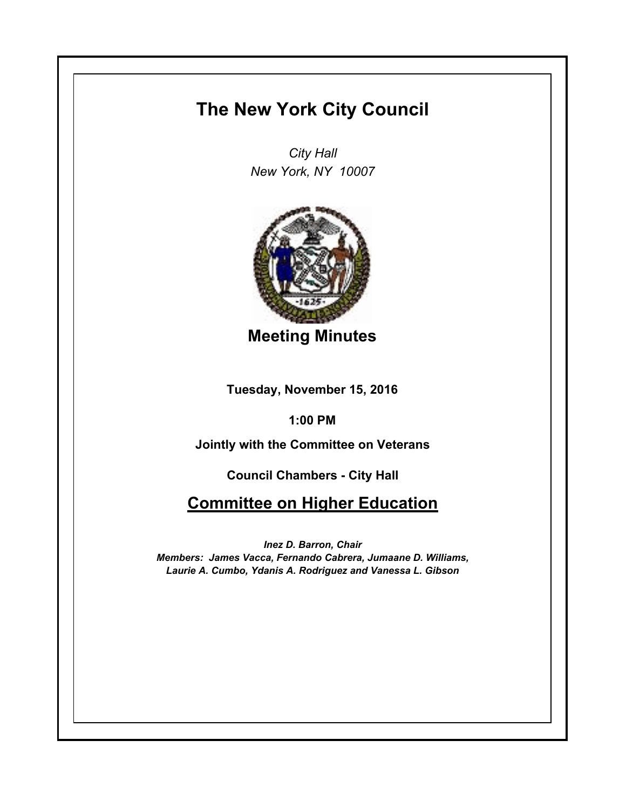## **The New York City Council**

*City Hall New York, NY 10007*



**Meeting Minutes**

**Tuesday, November 15, 2016**

**1:00 PM**

**Jointly with the Committee on Veterans**

**Council Chambers - City Hall**

**Committee on Higher Education**

*Inez D. Barron, Chair Members: James Vacca, Fernando Cabrera, Jumaane D. Williams, Laurie A. Cumbo, Ydanis A. Rodriguez and Vanessa L. Gibson*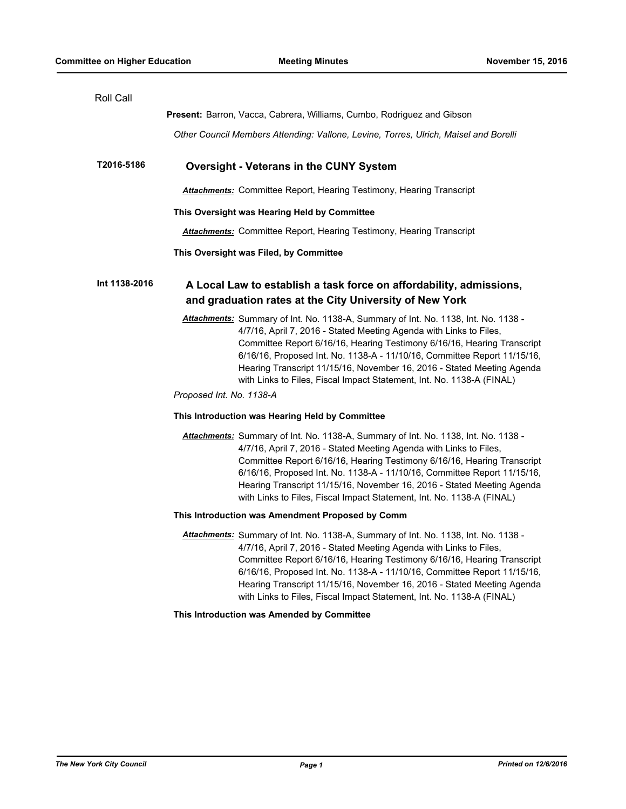| Roll Call     |                                                                                                                                                                                                                                                                                                                                                                                                                                                                                                |
|---------------|------------------------------------------------------------------------------------------------------------------------------------------------------------------------------------------------------------------------------------------------------------------------------------------------------------------------------------------------------------------------------------------------------------------------------------------------------------------------------------------------|
|               | Present: Barron, Vacca, Cabrera, Williams, Cumbo, Rodriguez and Gibson                                                                                                                                                                                                                                                                                                                                                                                                                         |
|               | Other Council Members Attending: Vallone, Levine, Torres, Ulrich, Maisel and Borelli                                                                                                                                                                                                                                                                                                                                                                                                           |
| T2016-5186    | <b>Oversight - Veterans in the CUNY System</b>                                                                                                                                                                                                                                                                                                                                                                                                                                                 |
|               | <b>Attachments:</b> Committee Report, Hearing Testimony, Hearing Transcript                                                                                                                                                                                                                                                                                                                                                                                                                    |
|               | This Oversight was Hearing Held by Committee                                                                                                                                                                                                                                                                                                                                                                                                                                                   |
|               | <b>Attachments:</b> Committee Report, Hearing Testimony, Hearing Transcript                                                                                                                                                                                                                                                                                                                                                                                                                    |
|               | This Oversight was Filed, by Committee                                                                                                                                                                                                                                                                                                                                                                                                                                                         |
| Int 1138-2016 | A Local Law to establish a task force on affordability, admissions,<br>and graduation rates at the City University of New York                                                                                                                                                                                                                                                                                                                                                                 |
|               | Attachments: Summary of Int. No. 1138-A, Summary of Int. No. 1138, Int. No. 1138 -<br>4/7/16, April 7, 2016 - Stated Meeting Agenda with Links to Files,<br>Committee Report 6/16/16, Hearing Testimony 6/16/16, Hearing Transcript<br>6/16/16, Proposed Int. No. 1138-A - 11/10/16, Committee Report 11/15/16,<br>Hearing Transcript 11/15/16, November 16, 2016 - Stated Meeting Agenda<br>with Links to Files, Fiscal Impact Statement, Int. No. 1138-A (FINAL)<br>Proposed Int. No. 1138-A |
|               | This Introduction was Hearing Held by Committee                                                                                                                                                                                                                                                                                                                                                                                                                                                |
|               | Attachments: Summary of Int. No. 1138-A, Summary of Int. No. 1138, Int. No. 1138 -<br>4/7/16, April 7, 2016 - Stated Meeting Agenda with Links to Files,<br>Committee Report 6/16/16, Hearing Testimony 6/16/16, Hearing Transcript<br>6/16/16, Proposed Int. No. 1138-A - 11/10/16, Committee Report 11/15/16,<br>Hearing Transcript 11/15/16, November 16, 2016 - Stated Meeting Agenda<br>with Links to Files, Fiscal Impact Statement, Int. No. 1138-A (FINAL)                             |
|               | This Introduction was Amendment Proposed by Comm                                                                                                                                                                                                                                                                                                                                                                                                                                               |
|               | Attachments: Summary of Int. No. 1138-A, Summary of Int. No. 1138, Int. No. 1138 -<br>4/7/16, April 7, 2016 - Stated Meeting Agenda with Links to Files,<br>Committee Report 6/16/16, Hearing Testimony 6/16/16, Hearing Transcript<br>6/16/16, Proposed Int. No. 1138-A - 11/10/16, Committee Report 11/15/16,<br>Hearing Transcript 11/15/16, November 16, 2016 - Stated Meeting Agenda<br>with Links to Files, Fiscal Impact Statement, Int. No. 1138-A (FINAL)                             |
|               | This Introduction was Amended by Committee                                                                                                                                                                                                                                                                                                                                                                                                                                                     |
|               |                                                                                                                                                                                                                                                                                                                                                                                                                                                                                                |
|               |                                                                                                                                                                                                                                                                                                                                                                                                                                                                                                |